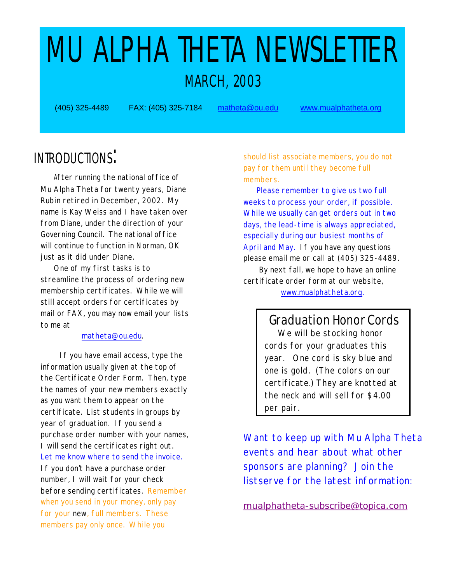# MU ALPHA THETA NEWSLETTER MARCH, 2003

(405) 325-4489 FAX: (405) 325-7184 matheta@ou.edu <www.mualphatheta.org>

### INTRODUCTIONS:

 After running the national office of Mu Alpha Theta for twenty years, Diane Rubin retired in December, 2002. My name is Kay Weiss and I have taken over from Diane, under the direction of your Governing Council. The national office will continue to function in Norman, OK just as it did under Diane.

 One of my first tasks is to streamline the process of ordering new membership certificates. While we will still accept orders for certificates by mail or FAX, you may now email your lists to me at

#### matheta@ou.edu.

 If you have email access, type the information usually given at the top of the Certificate Order Form. Then, type the names of your new members exactly as you want them to appear on the certificate. List students in groups by year of graduation. If you send a purchase order number with your names, I will send the certificates right out. Let me know where to send the invoice. If you don't have a purchase order number, I will wait for your check before sending certificates. Remember when you send in your money, only pay for your new, full members. These members pay only once. While you

should list associate members, you do not pay for them until they become full members.

 Please remember to give us two full weeks to process your order, if possible. While we usually can get orders out in two days, the lead-time is always appreciated, especially during our busiest months of April and May. If you have any questions please email me or call at (405) 325-4489.

 By next fall, we hope to have an online certificate order form at our website,

[www.mualphatheta.org.](www.mualphatheta.org) 

 Graduation Honor Cords We will be stocking honor cords for your graduates this year. One cord is sky blue and one is gold. (The colors on our certificate.) They are knotted at the neck and will sell for \$4.00 per pair.

Want to keep up with Mu Alpha Theta events and hear about what other sponsors are planning? Join the listserve for the latest information:

<mualphatheta-subscribe@topica.com>